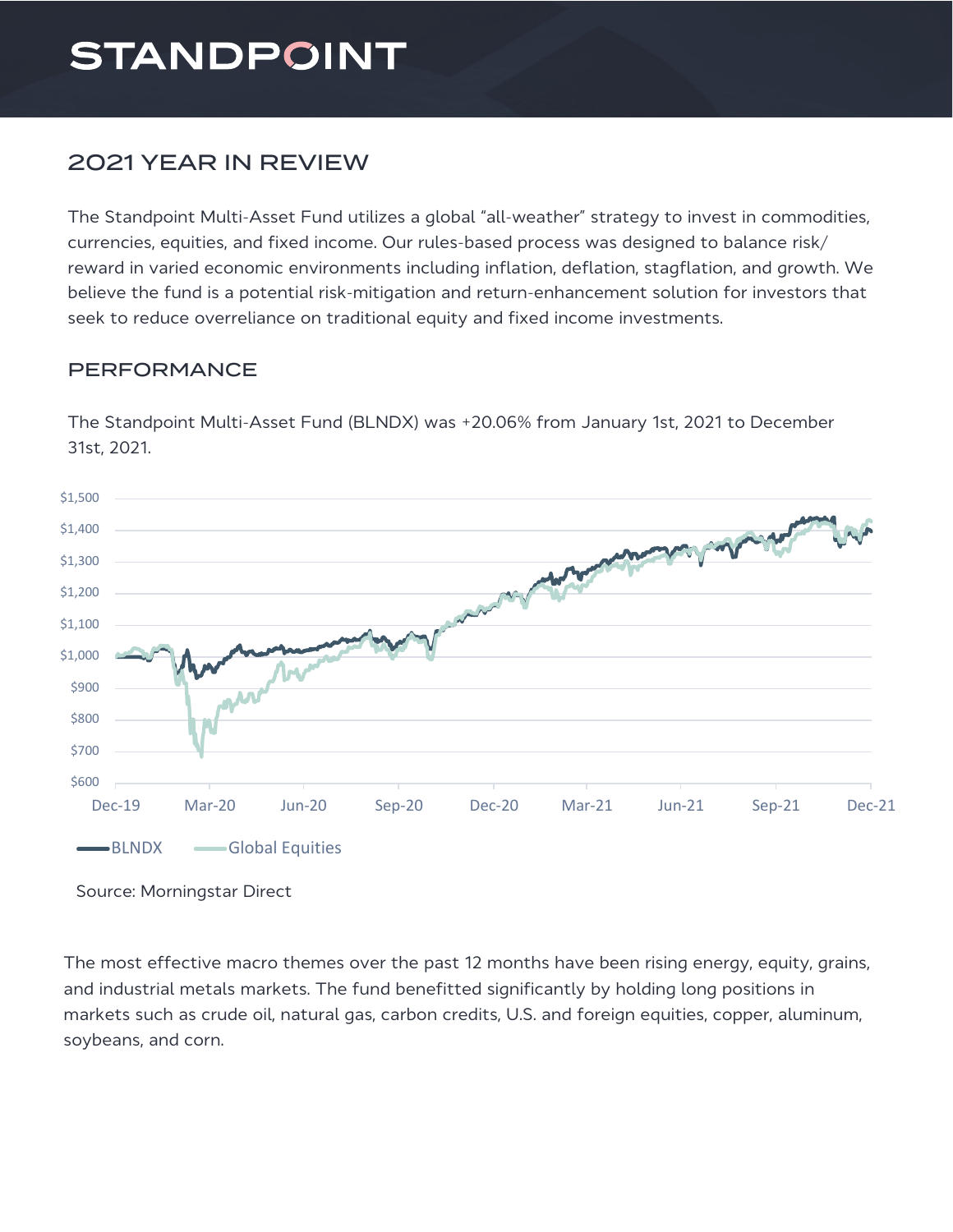# **STANDPOINT**

## **2021 YEAR IN REVIEW**

The Standpoint Multi-Asset Fund utilizes a global "all-weather" strategy to invest in commodities, currencies, equities, and fixed income. Our rules-based process was designed to balance risk/ reward in varied economic environments including inflation, deflation, stagflation, and growth. We believe the fund is a potential risk-mitigation and return-enhancement solution for investors that seek to reduce overreliance on traditional equity and fixed income investments.

### PERFORMANCE

The Standpoint Multi-Asset Fund (BLNDX) was +20.06% from January 1st, 2021 to December 31st. 2021.



Source: Morningstar Direct

The most effective macro themes over the past 12 months have been rising energy, equity, grains, and industrial metals markets. The fund benefitted significantly by holding long positions in markets such as crude oil, natural gas, carbon credits, U.S. and foreign equities, copper, aluminum, soybeans, and corn.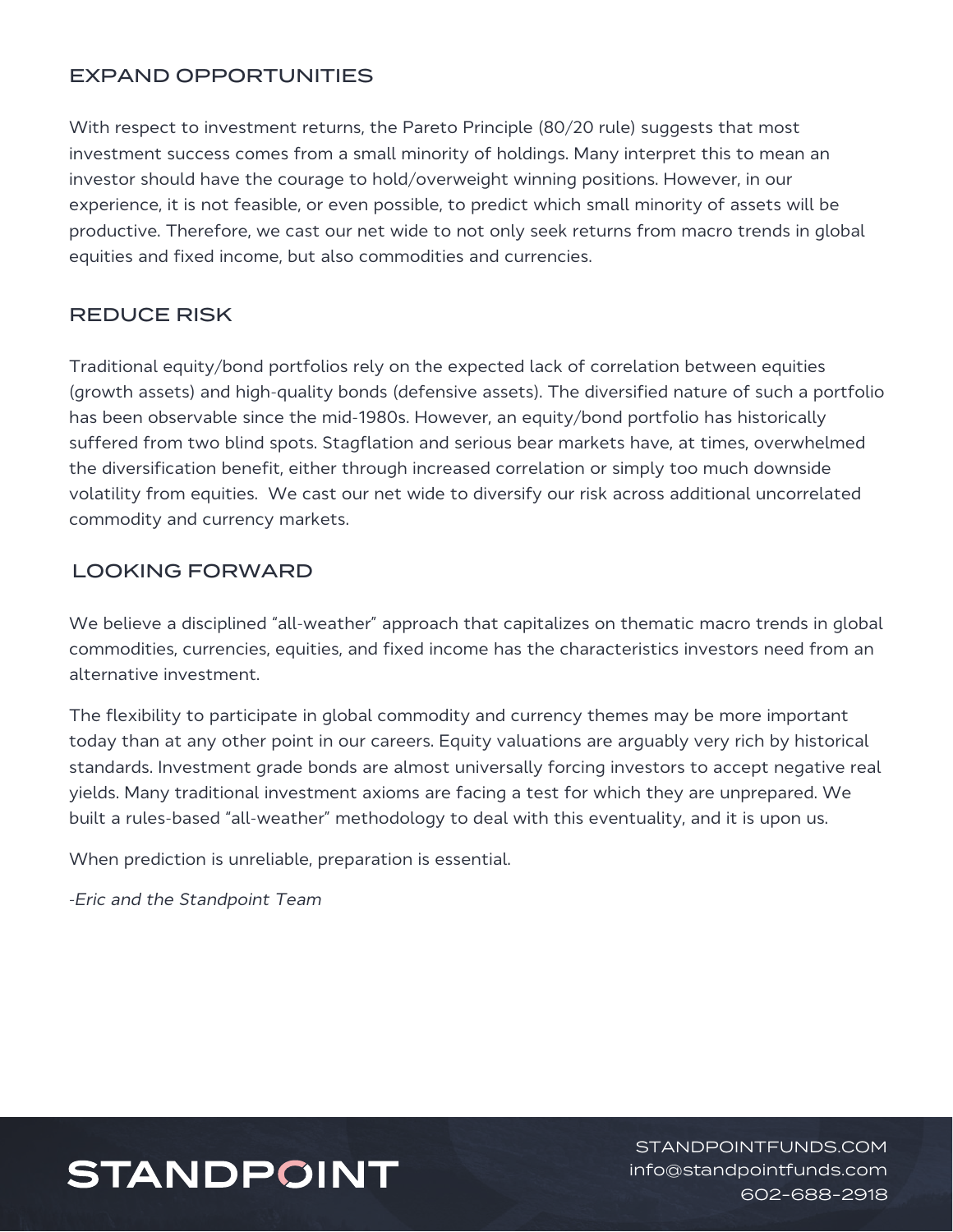#### EXPAND OPPORTUNITIES

With respect to investment returns, the Pareto Principle (80/20 rule) suggests that most investment success comes from a small minority of holdings. Many interpret this to mean an investor should have the courage to hold/overweight winning positions. However, in our experience, it is not feasible, or even possible, to predict which small minority of assets will be productive. Therefore, we cast our net wide to not only seek returns from macro trends in global equities and fixed income, but also commodities and currencies.

#### REDUCE RISK

Traditional equity/bond portfolios rely on the expected lack of correlation between equities (growth assets) and high-quality bonds (defensive assets). The diversified nature of such a portfolio has been observable since the mid-1980s. However, an equity/bond portfolio has historically suffered from two blind spots. Stagflation and serious bear markets have, at times, overwhelmed the diversification benefit, either through increased correlation or simply too much downside volatility from equities. We cast our net wide to diversify our risk across additional uncorrelated commodity and currency markets.

#### **LOOKING FORWARD**

We believe a disciplined "all-weather" approach that capitalizes on thematic macro trends in global commodities, currencies, equities, and fixed income has the characteristics investors need from an alternative investment.

The flexibility to participate in global commodity and currency themes may be more important today than at any other point in our careers. Equity valuations are arguably very rich by historical standards. Investment grade bonds are almost universally forcing investors to accept negative real yields. Many traditional investment axioms are facing a test for which they are unprepared. We built a rules-based "all-weather" methodology to deal with this eventuality, and it is upon us.

When prediction is unreliable, preparation is essential.

-*Eric and the Standpoint Team* 

# **STANDPOINT**

STANDPOINTFUNDS.COM info@standpointfunds.com 602-688-2918